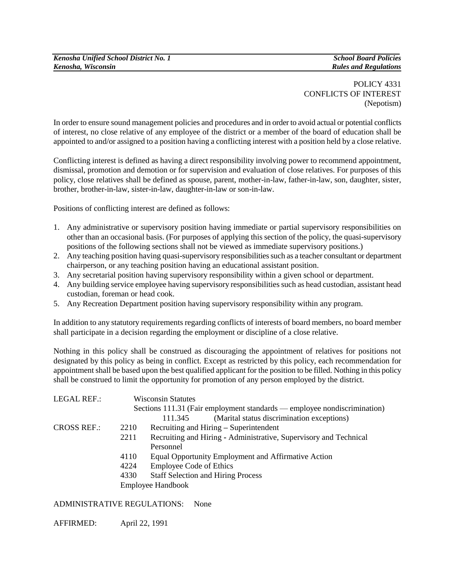POLICY 4331 CONFLICTS OF INTEREST (Nepotism)

In order to ensure sound management policies and procedures and in order to avoid actual or potential conflicts of interest, no close relative of any employee of the district or a member of the board of education shall be appointed to and/or assigned to a position having a conflicting interest with a position held by a close relative.

Conflicting interest is defined as having a direct responsibility involving power to recommend appointment, dismissal, promotion and demotion or for supervision and evaluation of close relatives. For purposes of this policy, close relatives shall be defined as spouse, parent, mother-in-law, father-in-law, son, daughter, sister, brother, brother-in-law, sister-in-law, daughter-in-law or son-in-law.

Positions of conflicting interest are defined as follows:

- 1. Any administrative or supervisory position having immediate or partial supervisory responsibilities on other than an occasional basis. (For purposes of applying this section of the policy, the quasi-supervisory positions of the following sections shall not be viewed as immediate supervisory positions.)
- 2. Any teaching position having quasi-supervisory responsibilities such as a teacher consultant or department chairperson, or any teaching position having an educational assistant position.
- 3. Any secretarial position having supervisory responsibility within a given school or department.
- 4. Any building service employee having supervisory responsibilities such as head custodian, assistant head custodian, foreman or head cook.
- 5. Any Recreation Department position having supervisory responsibility within any program.

In addition to any statutory requirements regarding conflicts of interests of board members, no board member shall participate in a decision regarding the employment or discipline of a close relative.

Nothing in this policy shall be construed as discouraging the appointment of relatives for positions not designated by this policy as being in conflict. Except as restricted by this policy, each recommendation for appointment shall be based upon the best qualified applicant for the position to be filled. Nothing in this policy shall be construed to limit the opportunity for promotion of any person employed by the district.

| <b>LEGAL REF.:</b> | <b>Wisconsin Statutes</b><br>Sections 111.31 (Fair employment standards — employee nondiscrimination) |                                                                   |
|--------------------|-------------------------------------------------------------------------------------------------------|-------------------------------------------------------------------|
|                    |                                                                                                       |                                                                   |
|                    |                                                                                                       | (Marital status discrimination exceptions)<br>111.345             |
| <b>CROSS REF.:</b> | 2210                                                                                                  | Recruiting and Hiring – Superintendent                            |
|                    | 2211                                                                                                  | Recruiting and Hiring - Administrative, Supervisory and Technical |
|                    |                                                                                                       | Personnel                                                         |
|                    | 4110                                                                                                  | Equal Opportunity Employment and Affirmative Action               |
|                    | 4224                                                                                                  | <b>Employee Code of Ethics</b>                                    |
|                    | 4330                                                                                                  | <b>Staff Selection and Hiring Process</b>                         |
|                    | <b>Employee Handbook</b>                                                                              |                                                                   |

ADMINISTRATIVE REGULATIONS: None

AFFIRMED: April 22, 1991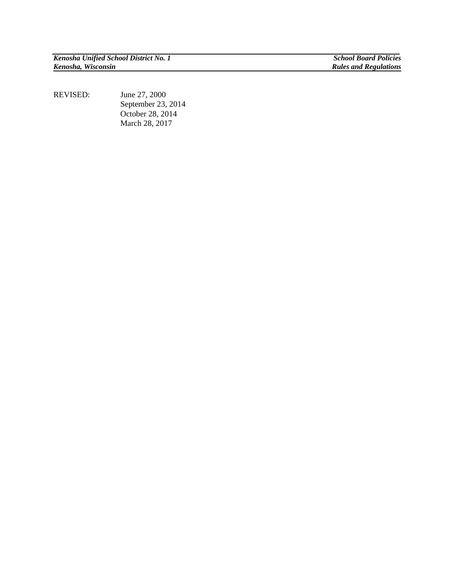*Kenosha Unified School District No. 1 School Board Policies*

**Rules and Regulations** 

REVISED: June 27, 2000 September 23, 2014 October 28, 2014 March 28, 2017